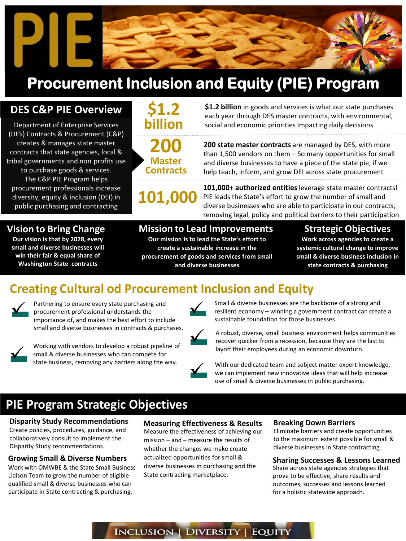

## **Procurement Inclusion and Equity (PIE) Program**

### **DES C&P PIE Overview**

- tribal governments and non profits use contracts that state agencies, local & Department of Enterprise Services (DES) Contracts & Procurement (C&P) creates & manages state master

 The C&P PIE Program helps to purchase goods & services. procurement professionals increase diversity, equity & inclusion (DEI) in public purchasing and contracting



**Contracts 101,000** 

 **\$1.2 billion** in goods and services is what our state purchases each year through DES master contracts, with environmental, social and economic priorities impacting daily decisions

 than 1,500 vendors on them – So many opportunities for small and diverse businesses to have a piece of the state pie, if we help teach, inform, and grow DEI across state procurement **200 state master contracts** are managed by DES, with more

 PIE leads the State's effort to grow the number of small and removing legal, policy and political barriers to their participation **101,000+ authorized entities** leverage state master contracts! diverse businesses who are able to participate in our contracts,

#### **Vision to Bring Change**

 **Our vision is that by 2028, every small and diverse businesses will win their fair & equal share of Washington State contracts** 

#### **Mission to Lead Improvements**

 **Our mission is to lead the State's effort to create a sustainable increase in the procurement of goods and services from small and diverse businesses** 

#### **Strategic Objectives**

 **Work across agencies to create a systemic cultural change to improve small & diverse business inclusion in state contracts & purchasing** 

## **Creating Cultural od Procurement Inclusion and Equity**



Partnering to ensure every state purchasing and importance of, and makes the best effort to include sustainable foundation for those businesses. small and diverse businesses in contracts & purchases.



Working with vendors to develop a robust pipeline of small & diverse businesses who can compete for

procurement professional understands the resilient economy – winning a government contract can create a Small & diverse businesses are the backbone of a strong and



small and diverse businesses in contracts & purchases.<br>A robust, diverse, small business environment helps communities recover quicker from a recession, because they are the last to Working with vendors to develop a robust pipeline of **Working and recover quicker from a recession**, because they are the last to layoff their employees during an economic downturn. Small & diverse businesses who can compe

state business, removing any barriers along the way.<br>
With our dedicated team and subject matter expert knowledge, we can implement new innovative ideas that will help increase use of small & diverse businesses in public purchasing.

## **PIE Program Strategic Objectives**

## **Disparity Study Recommendations**

 Create policies, procedures, guidance, and collaboratively consult to implement the Disparity Study recommendations.

 Work with OMWBE & the State Small Business Liaison Team to grow the number of eligible **Growing Small & Diverse Numbers**  qualified small & diverse businesses who can participate in State contracting & purchasing.

**Measuring Effectiveness & Results**

 whether the changes we make create actualized opportunities for small & Measure the effectiveness of achieving our mission – and – measure the results of diverse businesses in purchasing and the State contracting marketplace.

#### **Breaking Down Barriers**

 diverse businesses in State contracting. Eliminate barriers and create opportunities to the maximum extent possible for small &

#### **Sharing Successes & Lessons Learned**

Share across state agencies strategies that prove to be effective, share results and outcomes, successes and lessons learned for a holistic statewide approach.

INCLUSION | DIVERSITY | EQUITY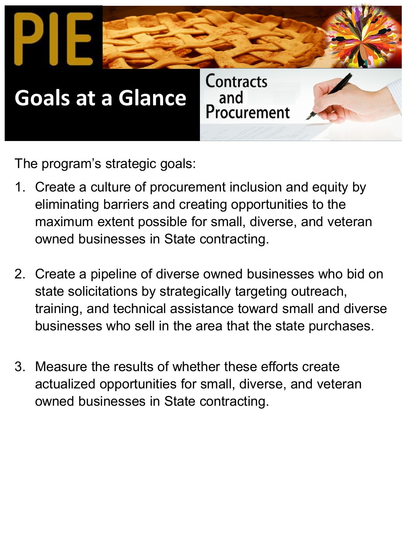

The program's strategic goals:

- 1. Create a culture of procurement inclusion and equity by maximum extent possible for small, diverse, and veteran eliminating barriers and creating opportunities to the owned businesses in State contracting.
- businesses who sell in the area that the state purchases. 2. Create a pipeline of diverse owned businesses who bid on state solicitations by strategically targeting outreach, training, and technical assistance toward small and diverse
- actualized opportunities for small, diverse, and veteran 3. Measure the results of whether these efforts create owned businesses in State contracting.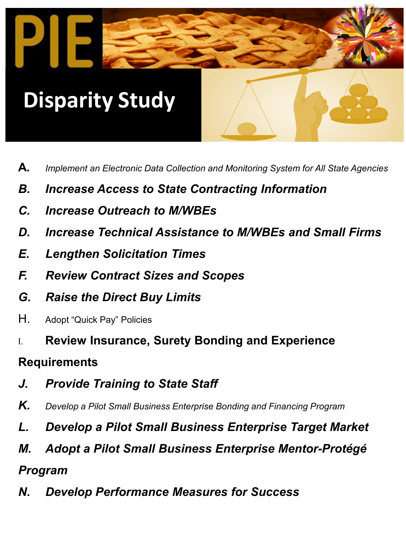# **Disparity Study**

WASHINGTON.

- **A.** *Implement an Electronic Data Collection and Monitoring System for All State Agencies*
- *B. Increase Access to State Contracting Information*
- *C. Increase Outreach to M/WBEs*
- *D. Increase Technical Assistance to M/WBEs and Small Firms*
- *E. Lengthen Solicitation Times*
- *F. Review Contract Sizes and Scopes*
- *G. Raise the Direct Buy Limits*
- H. Adopt "Quick Pay" Policies
- I. **Review Insurance, Surety Bonding and Experience**

### **Requirements**

- *J. Provide Training to State Staff*
- $\boldsymbol{K_{\boldsymbol{.}}}$  Develop a Pilot Small Business Enterprise Bonding and Financing Program
- *L. Develop a Pilot Small Business Enterprise Target Market*
- *M. Adopt a Pilot Small Business Enterprise Mentor-Protégé*
- *Program*
- *N. Develop Performance Measures for Success*